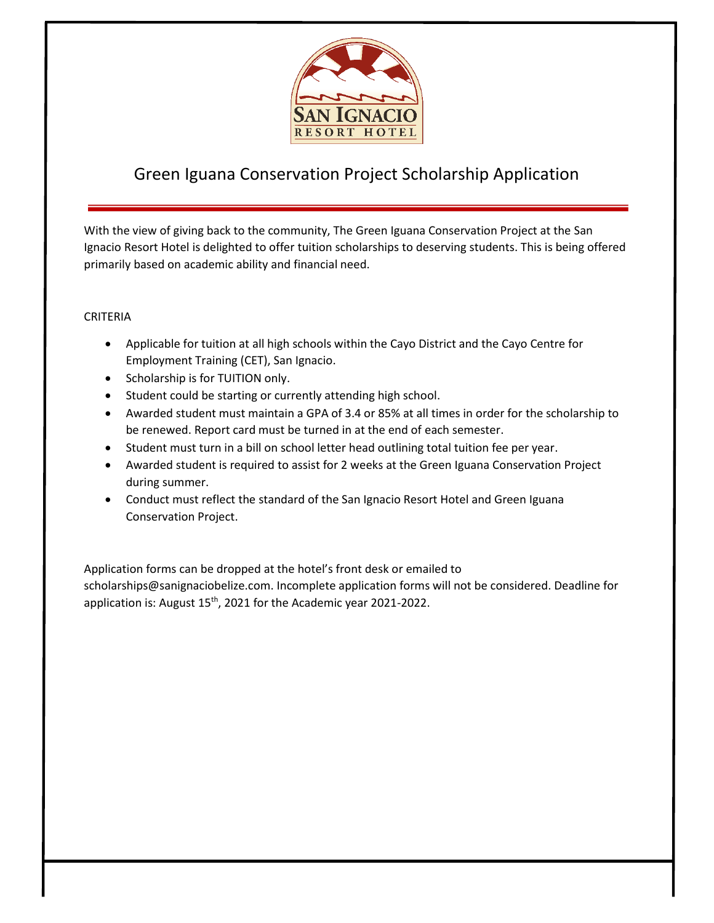

## Green Iguana Conservation Project Scholarship Application

With the view of giving back to the community, The Green Iguana Conservation Project at the San Ignacio Resort Hotel is delighted to offer tuition scholarships to deserving students. This is being offered primarily based on academic ability and financial need.

## CRITERIA

- Applicable for tuition at all high schools within the Cayo District and the Cayo Centre for Employment Training (CET), San Ignacio.
- Scholarship is for TUITION only.
- Student could be starting or currently attending high school.
- Awarded student must maintain a GPA of 3.4 or 85% at all times in order for the scholarship to be renewed. Report card must be turned in at the end of each semester.
- Student must turn in a bill on school letter head outlining total tuition fee per year.
- Awarded student is required to assist for 2 weeks at the Green Iguana Conservation Project during summer.
- Conduct must reflect the standard of the San Ignacio Resort Hotel and Green Iguana Conservation Project.

Application forms can be dropped at the hotel's front desk or emailed to scholarships@sanignaciobelize.com. Incomplete application forms will not be considered. Deadline for application is: August 15<sup>th</sup>, 2021 for the Academic year 2021-2022.